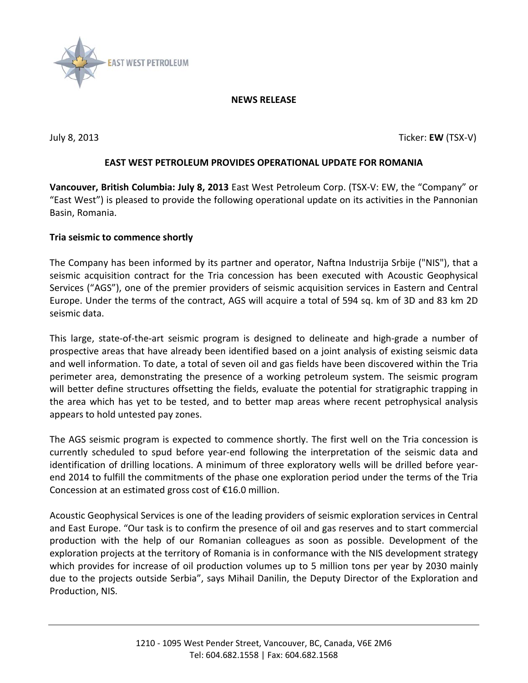

## **NEWS RELEASE**

July 8, 2013 Ticker: **EW** (TSX-V)

# **EAST WEST PETROLEUM PROVIDES OPERATIONAL UPDATE FOR ROMANIA**

**Vancouver, British Columbia: July 8, 2013** East West Petroleum Corp. (TSX-V: EW, the "Company" or "East West") is pleased to provide the following operational update on its activities in the Pannonian Basin, Romania.

## **Tria seismic to commence shortly**

The Company has been informed by its partner and operator, Naftna Industrija Srbije ("NIS"), that a seismic acquisition contract for the Tria concession has been executed with Acoustic Geophysical Services ("AGS"), one of the premier providers of seismic acquisition services in Eastern and Central Europe. Under the terms of the contract, AGS will acquire a total of 594 sq. km of 3D and 83 km 2D seismic data.

This large, state-of-the-art seismic program is designed to delineate and high-grade a number of prospective areas that have already been identified based on a joint analysis of existing seismic data and well information. To date, a total of seven oil and gas fields have been discovered within the Tria perimeter area, demonstrating the presence of a working petroleum system. The seismic program will better define structures offsetting the fields, evaluate the potential for stratigraphic trapping in the area which has yet to be tested, and to better map areas where recent petrophysical analysis appears to hold untested pay zones.

The AGS seismic program is expected to commence shortly. The first well on the Tria concession is currently scheduled to spud before year-end following the interpretation of the seismic data and identification of drilling locations. A minimum of three exploratory wells will be drilled before yearend 2014 to fulfill the commitments of the phase one exploration period under the terms of the Tria Concession at an estimated gross cost of €16.0 million.

Acoustic Geophysical Services is one of the leading providers of seismic exploration services in Central and East Europe. "Our task is to confirm the presence of oil and gas reserves and to start commercial production with the help of our Romanian colleagues as soon as possible. Development of the exploration projects at the territory of Romania is in conformance with the NIS development strategy which provides for increase of oil production volumes up to 5 million tons per year by 2030 mainly due to the projects outside Serbia", says Mihail Danilin, the Deputy Director of the Exploration and Production, NIS.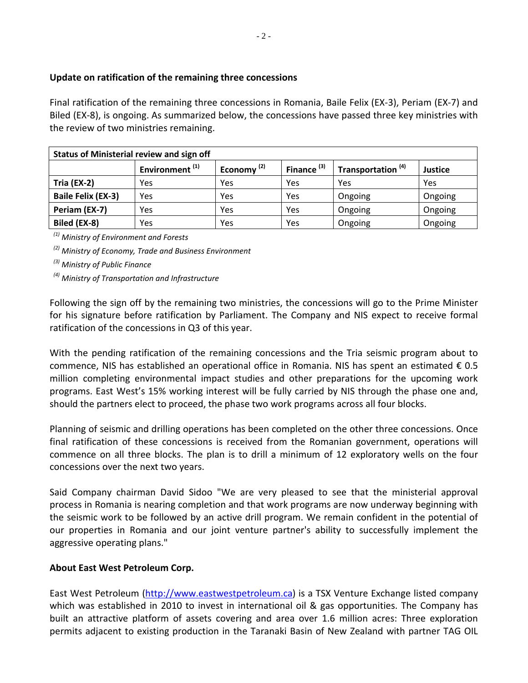## **Update on ratification of the remaining three concessions**

Final ratification of the remaining three concessions in Romania, Baile Felix (EX-3), Periam (EX-7) and Biled (EX-8), is ongoing. As summarized below, the concessions have passed three key ministries with the review of two ministries remaining.

| <b>Status of Ministerial review and sign off</b> |                            |                        |                        |                               |                |
|--------------------------------------------------|----------------------------|------------------------|------------------------|-------------------------------|----------------|
|                                                  | Environment <sup>(1)</sup> | Economy <sup>(2)</sup> | Finance <sup>(3)</sup> | Transportation <sup>(4)</sup> | <b>Justice</b> |
| Tria $(EX-2)$                                    | Yes                        | Yes                    | Yes                    | Yes                           | Yes            |
| <b>Baile Felix (EX-3)</b>                        | Yes                        | Yes                    | Yes                    | Ongoing                       | Ongoing        |
| Periam (EX-7)                                    | Yes                        | Yes                    | Yes                    | Ongoing                       | Ongoing        |
| Biled (EX-8)                                     | Yes                        | Yes                    | Yes                    | Ongoing                       | Ongoing        |

*(1) Ministry of Environment and Forests*

*(2) Ministry of Economy, Trade and Business Environment*

*(3) Ministry of Public Finance* 

*(4) Ministry of Transportation and Infrastructure*

Following the sign off by the remaining two ministries, the concessions will go to the Prime Minister for his signature before ratification by Parliament. The Company and NIS expect to receive formal ratification of the concessions in Q3 of this year.

With the pending ratification of the remaining concessions and the Tria seismic program about to commence, NIS has established an operational office in Romania. NIS has spent an estimated  $\epsilon$  0.5 million completing environmental impact studies and other preparations for the upcoming work programs. East West's 15% working interest will be fully carried by NIS through the phase one and, should the partners elect to proceed, the phase two work programs across all four blocks.

Planning of seismic and drilling operations has been completed on the other three concessions. Once final ratification of these concessions is received from the Romanian government, operations will commence on all three blocks. The plan is to drill a minimum of 12 exploratory wells on the four concessions over the next two years.

Said Company chairman David Sidoo "We are very pleased to see that the ministerial approval process in Romania is nearing completion and that work programs are now underway beginning with the seismic work to be followed by an active drill program. We remain confident in the potential of our properties in Romania and our joint venture partner's ability to successfully implement the aggressive operating plans."

## **About East West Petroleum Corp.**

East West Petroleum [\(http://www.eastwestpetroleum.ca\)](http://www.eastwestpetroleum.ca/) is a TSX Venture Exchange listed company which was established in 2010 to invest in international oil & gas opportunities. The Company has built an attractive platform of assets covering and area over 1.6 million acres: Three exploration permits adjacent to existing production in the Taranaki Basin of New Zealand with partner TAG OIL